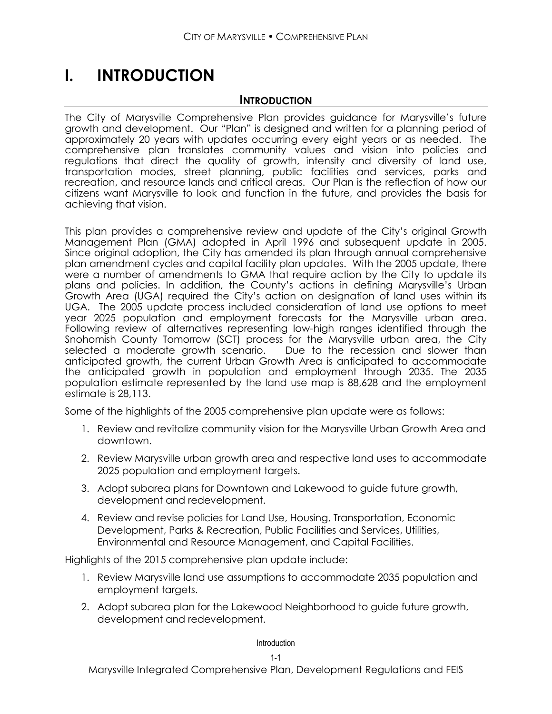# **I. INTRODUCTION**

### **INTRODUCTION**

The City of Marysville Comprehensive Plan provides guidance for Marysville's future growth and development. Our "Plan" is designed and written for a planning period of approximately 20 years with updates occurring every eight years or as needed. The comprehensive plan translates community values and vision into policies and regulations that direct the quality of growth, intensity and diversity of land use, transportation modes, street planning, public facilities and services, parks and recreation, and resource lands and critical areas. Our Plan is the reflection of how our citizens want Marysville to look and function in the future, and provides the basis for achieving that vision.

This plan provides a comprehensive review and update of the City's original Growth Management Plan (GMA) adopted in April 1996 and subsequent update in 2005. Since original adoption, the City has amended its plan through annual comprehensive plan amendment cycles and capital facility plan updates. With the 2005 update, there were a number of amendments to GMA that require action by the City to update its plans and policies. In addition, the County's actions in defining Marysville's Urban Growth Area (UGA) required the City's action on designation of land uses within its UGA. The 2005 update process included consideration of land use options to meet year 2025 population and employment forecasts for the Marysville urban area. Following review of alternatives representing low-high ranges identified through the Snohomish County Tomorrow (SCT) process for the Marysville urban area, the City selected a moderate growth scenario. Due to the recession and slower than anticipated growth, the current Urban Growth Area is anticipated to accommodate the anticipated growth in population and employment through 2035. The 2035 population estimate represented by the land use map is 88,628 and the employment estimate is 28,113.

Some of the highlights of the 2005 comprehensive plan update were as follows:

- 1. Review and revitalize community vision for the Marysville Urban Growth Area and downtown.
- 2. Review Marysville urban growth area and respective land uses to accommodate 2025 population and employment targets.
- 3. Adopt subarea plans for Downtown and Lakewood to guide future growth, development and redevelopment.
- 4. Review and revise policies for Land Use, Housing, Transportation, Economic Development, Parks & Recreation, Public Facilities and Services, Utilities, Environmental and Resource Management, and Capital Facilities.

Highlights of the 2015 comprehensive plan update include:

- 1. Review Marysville land use assumptions to accommodate 2035 population and employment targets.
- 2. Adopt subarea plan for the Lakewood Neighborhood to guide future growth, development and redevelopment.

#### Introduction

Marysville Integrated Comprehensive Plan, Development Regulations and FEIS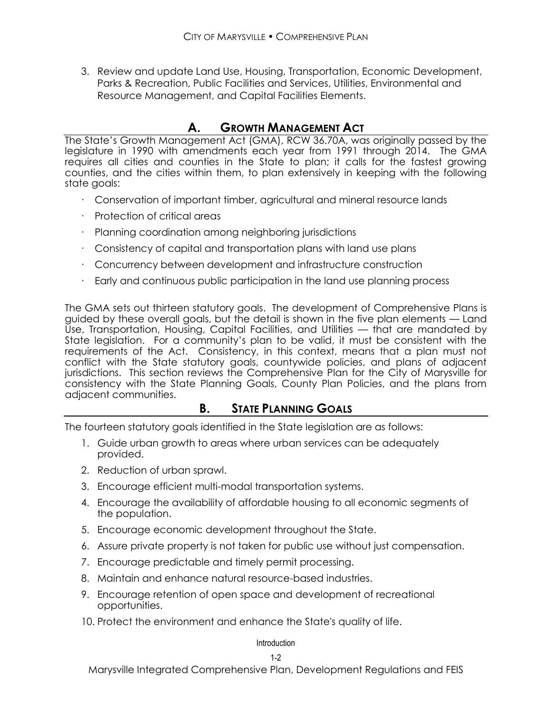3. Review and update Land Use, Housing, Transportation, Economic Development, Parks & Recreation, Public Facilities and Services, Utilities, Environmental and Resource Management, and Capital Facilities Elements.

# **A. GROWTH MANAGEMENT ACT**

The State's Growth Management Act (GMA), RCW 36.70A, was originally passed by the legislature in 1990 with amendments each year from 1991 through 2014. The GMA requires all cities and counties in the State to plan; it calls for the fastest growing counties, and the cities within them, to plan extensively in keeping with the following state goals:

- · Conservation of important timber, agricultural and mineral resource lands
- Protection of critical areas
- Planning coordination among neighboring jurisdictions
- · Consistency of capital and transportation plans with land use plans
- · Concurrency between development and infrastructure construction
- · Early and continuous public participation in the land use planning process

The GMA sets out thirteen statutory goals. The development of Comprehensive Plans is guided by these overall goals, but the detail is shown in the five plan elements — Land Use, Transportation, Housing, Capital Facilities, and Utilities — that are mandated by State legislation. For a community's plan to be valid, it must be consistent with the requirements of the Act. Consistency, in this context, means that a plan must not conflict with the State statutory goals, countywide policies, and plans of adjacent jurisdictions. This section reviews the Comprehensive Plan for the City of Marysville for consistency with the State Planning Goals, County Plan Policies, and the plans from adjacent communities.

# **B. STATE PLANNING GOALS**

The fourteen statutory goals identified in the State legislation are as follows:

- 1. Guide urban growth to areas where urban services can be adequately provided.
- 2. Reduction of urban sprawl.
- 3. Encourage efficient multi-modal transportation systems.
- 4. Encourage the availability of affordable housing to all economic segments of the population.
- 5. Encourage economic development throughout the State.
- 6. Assure private property is not taken for public use without just compensation.
- 7. Encourage predictable and timely permit processing.
- 8. Maintain and enhance natural resource-based industries.
- 9. Encourage retention of open space and development of recreational opportunities.
- 10. Protect the environment and enhance the State's quality of life.

#### **Introduction**

#### 1-2

Marysville Integrated Comprehensive Plan, Development Regulations and FEIS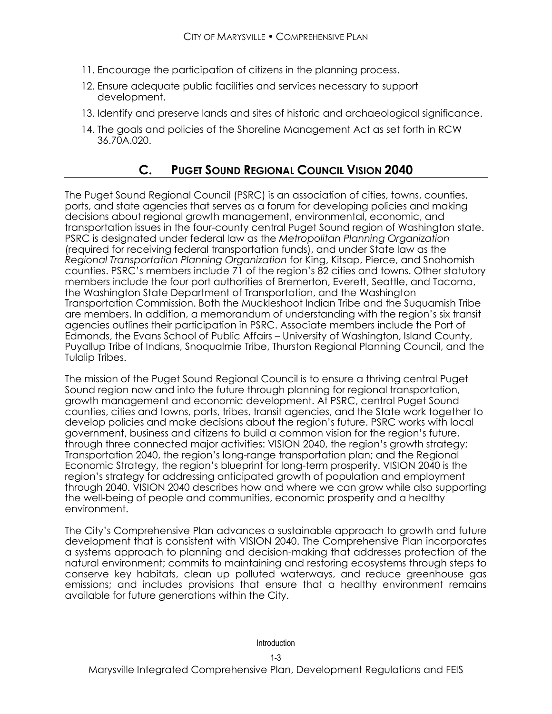- 11. Encourage the participation of citizens in the planning process.
- 12. Ensure adequate public facilities and services necessary to support development.
- 13. Identify and preserve lands and sites of historic and archaeological significance.
- 14. The goals and policies of the Shoreline Management Act as set forth in RCW 36.70A.020.

# **C. PUGET SOUND REGIONAL COUNCIL VISION 2040**

The Puget Sound Regional Council (PSRC) is an association of cities, towns, counties, ports, and state agencies that serves as a forum for developing policies and making decisions about regional growth management, environmental, economic, and transportation issues in the four-county central Puget Sound region of Washington state. PSRC is designated under federal law as the *Metropolitan Planning Organization*  (required for receiving federal transportation funds), and under State law as the *Regional Transportation Planning Organization* for King, Kitsap, Pierce, and Snohomish counties. PSRC's members include 71 of the region's 82 cities and towns. Other statutory members include the four port authorities of Bremerton, Everett, Seattle, and Tacoma, the Washington State Department of Transportation, and the Washington Transportation Commission. Both the Muckleshoot Indian Tribe and the Suquamish Tribe are members. In addition, a memorandum of understanding with the region's six transit agencies outlines their participation in PSRC. Associate members include the Port of Edmonds, the Evans School of Public Affairs – University of Washington, Island County, Puyallup Tribe of Indians, Snoqualmie Tribe, Thurston Regional Planning Council, and the Tulalip Tribes.

The mission of the Puget Sound Regional Council is to ensure a thriving central Puget Sound region now and into the future through planning for regional transportation, growth management and economic development. At PSRC, central Puget Sound counties, cities and towns, ports, tribes, transit agencies, and the State work together to develop policies and make decisions about the region's future. PSRC works with local government, business and citizens to build a common vision for the region's future, through three connected major activities: VISION 2040, the region's growth strategy; Transportation 2040, the region's long-range transportation plan; and the Regional Economic Strategy, the region's blueprint for long-term prosperity. VISION 2040 is the region's strategy for addressing anticipated growth of population and employment through 2040. VISION 2040 describes how and where we can grow while also supporting the well-being of people and communities, economic prosperity and a healthy environment.

The City's Comprehensive Plan advances a sustainable approach to growth and future development that is consistent with VISION 2040. The Comprehensive Plan incorporates a systems approach to planning and decision-making that addresses protection of the natural environment; commits to maintaining and restoring ecosystems through steps to conserve key habitats, clean up polluted waterways, and reduce greenhouse gas emissions; and includes provisions that ensure that a healthy environment remains available for future generations within the City.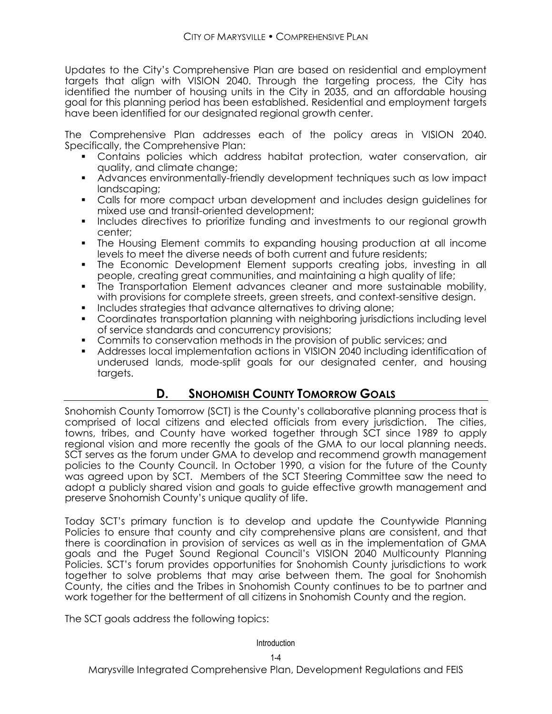Updates to the City's Comprehensive Plan are based on residential and employment targets that align with VISION 2040. Through the targeting process, the City has identified the number of housing units in the City in 2035, and an affordable housing goal for this planning period has been established. Residential and employment targets have been identified for our designated regional growth center.

The Comprehensive Plan addresses each of the policy areas in VISION 2040. Specifically, the Comprehensive Plan:

- Contains policies which address habitat protection, water conservation, air quality, and climate change;
- Advances environmentally-friendly development techniques such as low impact landscaping;
- Calls for more compact urban development and includes design guidelines for mixed use and transit-oriented development;
- Includes directives to prioritize funding and investments to our regional growth center;
- The Housing Element commits to expanding housing production at all income levels to meet the diverse needs of both current and future residents;
- The Economic Development Element supports creating jobs, investing in all people, creating great communities, and maintaining a high quality of life;
- The Transportation Element advances cleaner and more sustainable mobility, with provisions for complete streets, green streets, and context-sensitive design.
- Includes strategies that advance alternatives to driving alone;
- Coordinates transportation planning with neighboring jurisdictions including level of service standards and concurrency provisions;
- Commits to conservation methods in the provision of public services; and
- Addresses local implementation actions in VISION 2040 including identification of underused lands, mode-split goals for our designated center, and housing targets.

# **D. SNOHOMISH COUNTY TOMORROW GOALS**

Snohomish County Tomorrow (SCT) is the County's collaborative planning process that is comprised of local citizens and elected officials from every jurisdiction. The cities, towns, tribes, and County have worked together through SCT since 1989 to apply regional vision and more recently the goals of the GMA to our local planning needs. SCT serves as the forum under GMA to develop and recommend growth management policies to the County Council. In October 1990, a vision for the future of the County was agreed upon by SCT. Members of the SCT Steering Committee saw the need to adopt a publicly shared vision and goals to guide effective growth management and preserve Snohomish County's unique quality of life.

Today SCT's primary function is to develop and update the Countywide Planning Policies to ensure that county and city comprehensive plans are consistent, and that there is coordination in provision of services as well as in the implementation of GMA goals and the Puget Sound Regional Council's VISION 2040 Multicounty Planning Policies. SCT's forum provides opportunities for Snohomish County jurisdictions to work together to solve problems that may arise between them. The goal for Snohomish County, the cities and the Tribes in Snohomish County continues to be to partner and work together for the betterment of all citizens in Snohomish County and the region.

The SCT goals address the following topics: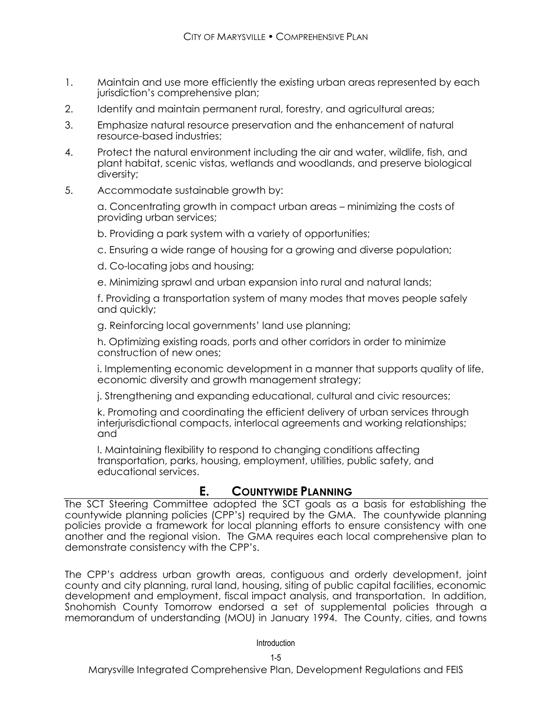- 1. Maintain and use more efficiently the existing urban areas represented by each jurisdiction's comprehensive plan;
- 2. Identify and maintain permanent rural, forestry, and agricultural areas;
- 3. Emphasize natural resource preservation and the enhancement of natural resource-based industries;
- 4. Protect the natural environment including the air and water, wildlife, fish, and plant habitat, scenic vistas, wetlands and woodlands, and preserve biological diversity;
- 5. Accommodate sustainable growth by:

a. Concentrating growth in compact urban areas – minimizing the costs of providing urban services;

b. Providing a park system with a variety of opportunities;

c. Ensuring a wide range of housing for a growing and diverse population;

d. Co-locating jobs and housing;

e. Minimizing sprawl and urban expansion into rural and natural lands;

f. Providing a transportation system of many modes that moves people safely and quickly;

g. Reinforcing local governments' land use planning;

h. Optimizing existing roads, ports and other corridors in order to minimize construction of new ones;

i. Implementing economic development in a manner that supports quality of life, economic diversity and growth management strategy;

j. Strengthening and expanding educational, cultural and civic resources;

k. Promoting and coordinating the efficient delivery of urban services through interjurisdictional compacts, interlocal agreements and working relationships; and

l. Maintaining flexibility to respond to changing conditions affecting transportation, parks, housing, employment, utilities, public safety, and educational services.

### **E. COUNTYWIDE PLANNING**

The SCT Steering Committee adopted the SCT goals as a basis for establishing the countywide planning policies (CPP's) required by the GMA. The countywide planning policies provide a framework for local planning efforts to ensure consistency with one another and the regional vision. The GMA requires each local comprehensive plan to demonstrate consistency with the CPP's.

The CPP's address urban growth areas, contiguous and orderly development, joint county and city planning, rural land, housing, siting of public capital facilities, economic development and employment, fiscal impact analysis, and transportation. In addition, Snohomish County Tomorrow endorsed a set of supplemental policies through a memorandum of understanding (MOU) in January 1994. The County, cities, and towns

Introduction

Marysville Integrated Comprehensive Plan, Development Regulations and FEIS